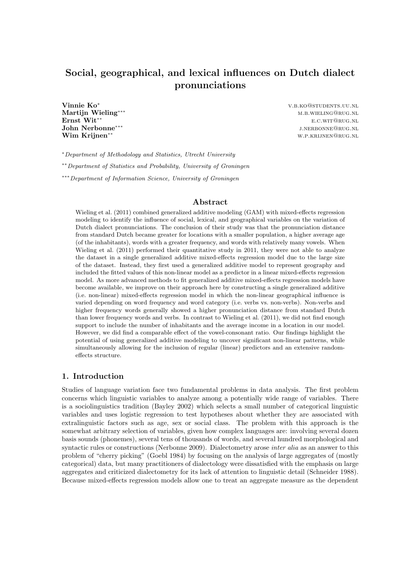# Social, geographical, and lexical influences on Dutch dialect pronunciations

Vinnie Ko<sup>∗</sup> v.b.ko@students.uu.nl

Martijn Wieling<sup>∗∗∗</sup> m.b.wieling°<sup>∗∗∗</sup> m.b.wieling®rug.nl Ernst Wit∗∗ e.c.wit@rug.nl John Nerbonne<sup>∗∗∗</sup> j.nerbonne°<sup>∗∗</sup> j.nerbonne®rug.nl Wim Krijnen<sup>∗∗</sup> w.p.krijnen\*\*

<sup>∗</sup>Department of Methodology and Statistics, Utrecht University

∗∗Department of Statistics and Probability, University of Groningen

∗∗∗Department of Information Science, University of Groningen

## Abstract

Wieling et al. (2011) combined generalized additive modeling (GAM) with mixed-effects regression modeling to identify the influence of social, lexical, and geographical variables on the variation of Dutch dialect pronunciations. The conclusion of their study was that the pronunciation distance from standard Dutch became greater for locations with a smaller population, a higher average age (of the inhabitants), words with a greater frequency, and words with relatively many vowels. When Wieling et al. (2011) performed their quantitative study in 2011, they were not able to analyze the dataset in a single generalized additive mixed-effects regression model due to the large size of the dataset. Instead, they first used a generalized additive model to represent geography and included the fitted values of this non-linear model as a predictor in a linear mixed-effects regression model. As more advanced methods to fit generalized additive mixed-effects regression models have become available, we improve on their approach here by constructing a single generalized additive (i.e. non-linear) mixed-effects regression model in which the non-linear geographical influence is varied depending on word frequency and word category (i.e. verbs vs. non-verbs). Non-verbs and higher frequency words generally showed a higher pronunciation distance from standard Dutch than lower frequency words and verbs. In contrast to Wieling et al. (2011), we did not find enough support to include the number of inhabitants and the average income in a location in our model. However, we did find a comparable effect of the vowel-consonant ratio. Our findings highlight the potential of using generalized additive modeling to uncover significant non-linear patterns, while simultaneously allowing for the inclusion of regular (linear) predictors and an extensive randomeffects structure.

## 1. Introduction

Studies of language variation face two fundamental problems in data analysis. The first problem concerns which linguistic variables to analyze among a potentially wide range of variables. There is a sociolinguistics tradition (Bayley 2002) which selects a small number of categorical linguistic variables and uses logistic regression to test hypotheses about whether they are associated with extralinguistic factors such as age, sex or social class. The problem with this approach is the somewhat arbitrary selection of variables, given how complex languages are: involving several dozen basis sounds (phonemes), several tens of thousands of words, and several hundred morphological and syntactic rules or constructions (Nerbonne 2009). Dialectometry arose *inter alia* as an answer to this problem of "cherry picking" (Goebl 1984) by focusing on the analysis of large aggregates of (mostly categorical) data, but many practitioners of dialectology were dissatisfied with the emphasis on large aggregates and criticized dialectometry for its lack of attention to linguistic detail (Schneider 1988). Because mixed-effects regression models allow one to treat an aggregate measure as the dependent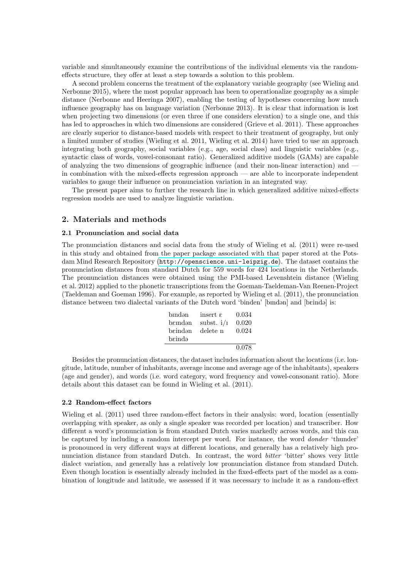variable and simultaneously examine the contributions of the individual elements via the randomeffects structure, they offer at least a step towards a solution to this problem.

A second problem concerns the treatment of the explanatory variable geography (see Wieling and Nerbonne 2015), where the most popular approach has been to operationalize geography as a simple distance (Nerbonne and Heeringa 2007), enabling the testing of hypotheses concerning how much influence geography has on language variation (Nerbonne 2013). It is clear that information is lost when projecting two dimensions (or even three if one considers elevation) to a single one, and this has led to approaches in which two dimensions are considered (Grieve et al. 2011). These approaches are clearly superior to distance-based models with respect to their treatment of geography, but only a limited number of studies (Wieling et al. 2011, Wieling et al. 2014) have tried to use an approach integrating both geography, social variables (e.g., age, social class) and linguistic variables (e.g., syntactic class of words, vowel-consonant ratio). Generalized additive models (GAMs) are capable of analyzing the two dimensions of geographic influence (and their non-linear interaction) and in combination with the mixed-effects regression approach — are able to incorporate independent variables to gauge their influence on pronunciation variation in an integrated way.

The present paper aims to further the research line in which generalized additive mixed-effects regression models are used to analyze linguistic variation.

# 2. Materials and methods

## 2.1 Pronunciation and social data

The pronunciation distances and social data from the study of Wieling et al. (2011) were re-used in this study and obtained from the paper package associated with that paper stored at the Potsdam Mind Research Repository (<http://openscience.uni-leipzig.de>). The dataset contains the pronunciation distances from standard Dutch for 559 words for 424 locations in the Netherlands. The pronunciation distances were obtained using the PMI-based Levenshtein distance (Wieling et al. 2012) applied to the phonetic transcriptions from the Goeman-Taeldeman-Van Reenen-Project (Taeldeman and Goeman 1996). For example, as reported by Wieling et al. (2011), the pronunciation distance between two dialectal variants of the Dutch word 'binden' [bmdən] and [beində] is:

| $b$ ındən | $insert \varepsilon$ | 0.034 |
|-----------|----------------------|-------|
| bɛɪndən   | subst. $i/r$         | 0.020 |
| beindən   | delete n             | 0.024 |
| beində    |                      |       |
|           |                      | 0.078 |

Besides the pronunciation distances, the dataset includes information about the locations (i.e. longitude, latitude, number of inhabitants, average income and average age of the inhabitants), speakers (age and gender), and words (i.e. word category, word frequency and vowel-consonant ratio). More details about this dataset can be found in Wieling et al. (2011).

## 2.2 Random-effect factors

Wieling et al. (2011) used three random-effect factors in their analysis: word, location (essentially overlapping with speaker, as only a single speaker was recorded per location) and transcriber. How different a word's pronunciation is from standard Dutch varies markedly across words, and this can be captured by including a random intercept per word. For instance, the word donder 'thunder' is pronounced in very different ways at different locations, and generally has a relatively high pronunciation distance from standard Dutch. In contrast, the word *bitter* 'bitter' shows very little dialect variation, and generally has a relatively low pronunciation distance from standard Dutch. Even though location is essentially already included in the fixed-effects part of the model as a combination of longitude and latitude, we assessed if it was necessary to include it as a random-effect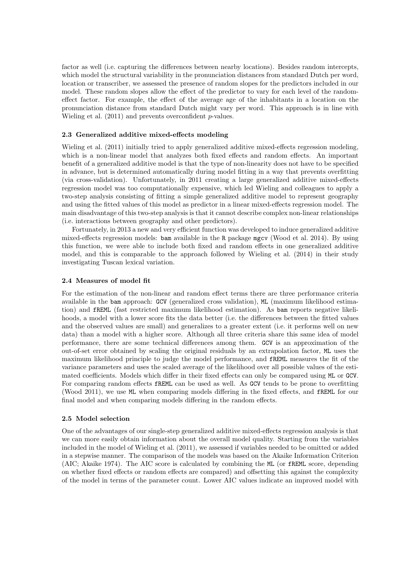factor as well (i.e. capturing the differences between nearby locations). Besides random intercepts, which model the structural variability in the pronunciation distances from standard Dutch per word, location or transcriber, we assessed the presence of random slopes for the predictors included in our model. These random slopes allow the effect of the predictor to vary for each level of the randomeffect factor. For example, the effect of the average age of the inhabitants in a location on the pronunciation distance from standard Dutch might vary per word. This approach is in line with Wieling et al. (2011) and prevents overconfident *p*-values.

## 2.3 Generalized additive mixed-effects modeling

Wieling et al. (2011) initially tried to apply generalized additive mixed-effects regression modeling, which is a non-linear model that analyzes both fixed effects and random effects. An important benefit of a generalized additive model is that the type of non-linearity does not have to be specified in advance, but is determined automatically during model fitting in a way that prevents overfitting (via cross-validation). Unfortunately, in 2011 creating a large generalized additive mixed-effects regression model was too computationally expensive, which led Wieling and colleagues to apply a two-step analysis consisting of fitting a simple generalized additive model to represent geography and using the fitted values of this model as predictor in a linear mixed-effects regression model. The main disadvantage of this two-step analysis is that it cannot describe complex non-linear relationships (i.e. interactions between geography and other predictors).

Fortunately, in 2013 a new and very efficient function was developed to induce generalized additive mixed-effects regression models: bam available in the R package mgcv (Wood et al. 2014). By using this function, we were able to include both fixed and random effects in one generalized additive model, and this is comparable to the approach followed by Wieling et al. (2014) in their study investigating Tuscan lexical variation.

#### 2.4 Measures of model fit

For the estimation of the non-linear and random effect terms there are three performance criteria available in the bam approach: GCV (generalized cross validation), ML (maximum likelihood estimation) and fREML (fast restricted maximum likelihood estimation). As bam reports negative likelihoods, a model with a lower score fits the data better (i.e. the differences between the fitted values and the observed values are small) and generalizes to a greater extent (i.e. it performs well on new data) than a model with a higher score. Although all three criteria share this same idea of model performance, there are some technical differences among them. GCV is an approximation of the out-of-set error obtained by scaling the original residuals by an extrapolation factor, ML uses the maximum likelihood principle to judge the model performance, and fREML measures the fit of the variance parameters and uses the scaled average of the likelihood over all possible values of the estimated coefficients. Models which differ in their fixed effects can only be compared using ML or GCV. For comparing random effects fREML can be used as well. As GCV tends to be prone to overfitting (Wood 2011), we use ML when comparing models differing in the fixed effects, and fREML for our final model and when comparing models differing in the random effects.

## 2.5 Model selection

One of the advantages of our single-step generalized additive mixed-effects regression analysis is that we can more easily obtain information about the overall model quality. Starting from the variables included in the model of Wieling et al. (2011), we assessed if variables needed to be omitted or added in a stepwise manner. The comparison of the models was based on the Akaike Information Criterion (AIC; Akaike 1974). The AIC score is calculated by combining the ML (or fREML score, depending on whether fixed effects or random effects are compared) and offsetting this against the complexity of the model in terms of the parameter count. Lower AIC values indicate an improved model with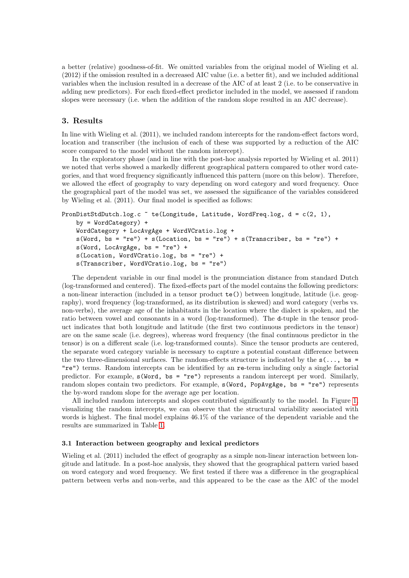a better (relative) goodness-of-fit. We omitted variables from the original model of Wieling et al. (2012) if the omission resulted in a decreased AIC value (i.e. a better fit), and we included additional variables when the inclusion resulted in a decrease of the AIC of at least 2 (i.e. to be conservative in adding new predictors). For each fixed-effect predictor included in the model, we assessed if random slopes were necessary (i.e. when the addition of the random slope resulted in an AIC decrease).

# 3. Results

In line with Wieling et al. (2011), we included random intercepts for the random-effect factors word, location and transcriber (the inclusion of each of these was supported by a reduction of the AIC score compared to the model without the random intercept).

In the exploratory phase (and in line with the post-hoc analysis reported by Wieling et al. 2011) we noted that verbs showed a markedly different geographical pattern compared to other word categories, and that word frequency significantly influenced this pattern (more on this below). Therefore, we allowed the effect of geography to vary depending on word category and word frequency. Once the geographical part of the model was set, we assessed the significance of the variables considered by Wieling et al. (2011). Our final model is specified as follows:

```
PronDistStdDutch.log.c \tilde{ } te(Longitude, Latitude, WordFreq.log, d = c(2, 1),
by = WordCategory) +
WordCategory + LocAvgAge + WordVCratio.log +
s(Word, bs = "re") + s(Location, bs = "re") + s(Transcribe, bs = "re") +s(Word, LocAvgAge, bs = "re") +
s(Location, WordVCratio.log, bs = "re") +
s(Transcriber, WordVCratio.log, bs = "re")
```
The dependent variable in our final model is the pronunciation distance from standard Dutch (log-transformed and centered). The fixed-effects part of the model contains the following predictors: a non-linear interaction (included in a tensor product te()) between longitude, latitude (i.e. geography), word frequency (log-transformed, as its distribution is skewed) and word category (verbs vs. non-verbs), the average age of the inhabitants in the location where the dialect is spoken, and the ratio between vowel and consonants in a word (log-transformed). The d-tuple in the tensor product indicates that both longitude and latitude (the first two continuous predictors in the tensor) are on the same scale (i.e. degrees), whereas word frequency (the final continuous predictor in the tensor) is on a different scale (i.e. log-transformed counts). Since the tensor products are centered, the separate word category variable is necessary to capture a potential constant difference between the two three-dimensional surfaces. The random-effects structure is indicated by the  $s(\ldots, bs)$ "re") terms. Random intercepts can be identified by an re-term including only a single factorial predictor. For example,  $s(Word, bs = "re")$  represents a random intercept per word. Similarly, random slopes contain two predictors. For example,  $s(Word, PopAvgAge, bs = "re")$  represents the by-word random slope for the average age per location.

All included random intercepts and slopes contributed significantly to the model. In Figure [1,](#page-4-0) visualizing the random intercepts, we can observe that the structural variability associated with words is highest. The final model explains 46.1% of the variance of the dependent variable and the results are summarized in Table [1.](#page-4-1)

## 3.1 Interaction between geography and lexical predictors

Wieling et al. (2011) included the effect of geography as a simple non-linear interaction between longitude and latitude. In a post-hoc analysis, they showed that the geographical pattern varied based on word category and word frequency. We first tested if there was a difference in the geographical pattern between verbs and non-verbs, and this appeared to be the case as the AIC of the model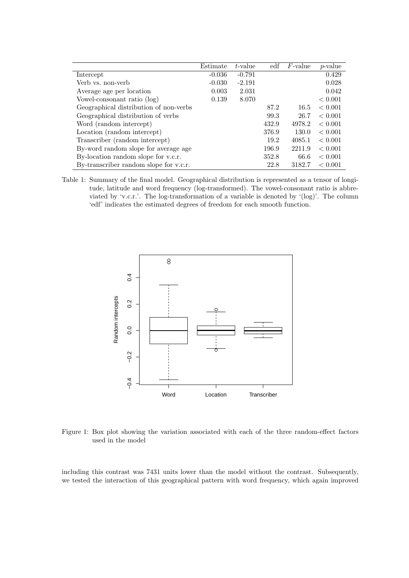<span id="page-4-1"></span>

|                                        | Estimate | $t$ -value | edf   | $F$ -value | $p$ -value  |
|----------------------------------------|----------|------------|-------|------------|-------------|
| Intercept                              | $-0.036$ | $-0.791$   |       |            | 0.429       |
| Verb vs. non-verb                      | $-0.030$ | $-2.191$   |       |            | 0.028       |
| Average age per location               | 0.003    | 2.031      |       |            | 0.042       |
| Vowel-consonant ratio (log)            | 0.139    | 8.070      |       |            | ${}< 0.001$ |
| Geographical distribution of non-verbs |          |            | 87.2  | 16.5       | ${}< 0.001$ |
| Geographical distribution of verbs     |          |            | 99.3  | 26.7       | < 0.001     |
| Word (random intercept)                |          |            | 432.9 | 4978.2     | ${}< 0.001$ |
| Location (random intercept)            |          |            | 376.9 | 130.0      | < 0.001     |
| Transcriber (random intercept)         |          |            | 19.2  | 4085.1     | < 0.001     |
| By-word random slope for average age   |          |            | 196.9 | 2211.9     | ${}< 0.001$ |
| By-location random slope for v.c.r.    |          |            | 352.8 | 66.6       | ${}< 0.001$ |
| By-transcriber random slope for v.c.r. |          |            | 22.8  | 3182.7     | ${}< 0.001$ |

Table 1: Summary of the final model. Geographical distribution is represented as a tensor of longitude, latitude and word frequency (log-transformed). The vowel-consonant ratio is abbreviated by 'v.c.r.'. The log-transformation of a variable is denoted by '(log)'. The column 'edf' indicates the estimated degrees of freedom for each smooth function.



<span id="page-4-0"></span>Figure 1: Box plot showing the variation associated with each of the three random-effect factors used in the model

including this contrast was 7431 units lower than the model without the contrast. Subsequently, we tested the interaction of this geographical pattern with word frequency, which again improved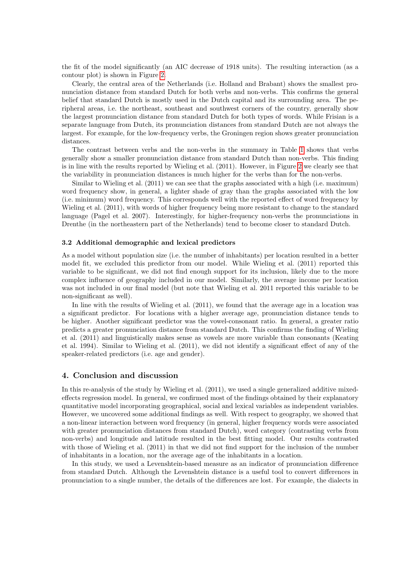the fit of the model significantly (an AIC decrease of 1918 units). The resulting interaction (as a contour plot) is shown in Figure [2.](#page-6-0)

Clearly, the central area of the Netherlands (i.e. Holland and Brabant) shows the smallest pronunciation distance from standard Dutch for both verbs and non-verbs. This confirms the general belief that standard Dutch is mostly used in the Dutch capital and its surrounding area. The peripheral areas, i.e. the northeast, southeast and southwest corners of the country, generally show the largest pronunciation distance from standard Dutch for both types of words. While Frisian is a separate language from Dutch, its pronunciation distances from standard Dutch are not always the largest. For example, for the low-frequency verbs, the Groningen region shows greater pronunciation distances.

The contrast between verbs and the non-verbs in the summary in Table [1](#page-4-1) shows that verbs generally show a smaller pronunciation distance from standard Dutch than non-verbs. This finding is in line with the results reported by Wieling et al. (2011). However, in Figure [2](#page-6-0) we clearly see that the variability in pronunciation distances is much higher for the verbs than for the non-verbs.

Similar to Wieling et al. (2011) we can see that the graphs associated with a high (i.e. maximum) word frequency show, in general, a lighter shade of gray than the graphs associated with the low (i.e. minimum) word frequency. This corresponds well with the reported effect of word frequency by Wieling et al. (2011), with words of higher frequency being more resistant to change to the standard language (Pagel et al. 2007). Interestingly, for higher-frequency non-verbs the pronunciations in Drenthe (in the northeastern part of the Netherlands) tend to become closer to standard Dutch.

### 3.2 Additional demographic and lexical predictors

As a model without population size (i.e. the number of inhabitants) per location resulted in a better model fit, we excluded this predictor from our model. While Wieling et al. (2011) reported this variable to be significant, we did not find enough support for its inclusion, likely due to the more complex influence of geography included in our model. Similarly, the average income per location was not included in our final model (but note that Wieling et al. 2011 reported this variable to be non-significant as well).

In line with the results of Wieling et al. (2011), we found that the average age in a location was a significant predictor. For locations with a higher average age, pronunciation distance tends to be higher. Another significant predictor was the vowel-consonant ratio. In general, a greater ratio predicts a greater pronunciation distance from standard Dutch. This confirms the finding of Wieling et al. (2011) and linguistically makes sense as vowels are more variable than consonants (Keating et al. 1994). Similar to Wieling et al. (2011), we did not identify a significant effect of any of the speaker-related predictors (i.e. age and gender).

## 4. Conclusion and discussion

In this re-analysis of the study by Wieling et al. (2011), we used a single generalized additive mixedeffects regression model. In general, we confirmed most of the findings obtained by their explanatory quantitative model incorporating geographical, social and lexical variables as independent variables. However, we uncovered some additional findings as well. With respect to geography, we showed that a non-linear interaction between word frequency (in general, higher frequency words were associated with greater pronunciation distances from standard Dutch), word category (contrasting verbs from non-verbs) and longitude and latitude resulted in the best fitting model. Our results contrasted with those of Wieling et al. (2011) in that we did not find support for the inclusion of the number of inhabitants in a location, nor the average age of the inhabitants in a location.

In this study, we used a Levenshtein-based measure as an indicator of pronunciation difference from standard Dutch. Although the Levenshtein distance is a useful tool to convert differences in pronunciation to a single number, the details of the differences are lost. For example, the dialects in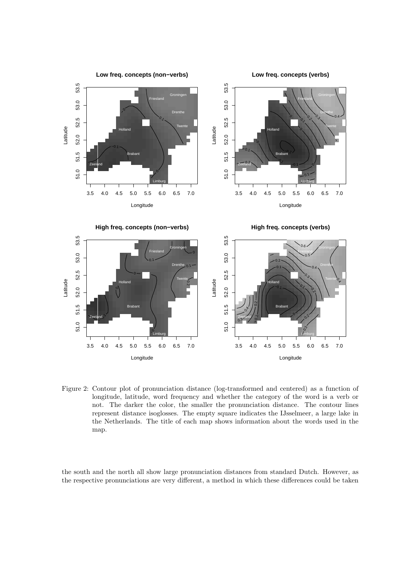

<span id="page-6-0"></span>Figure 2: Contour plot of pronunciation distance (log-transformed and centered) as a function of longitude, latitude, word frequency and whether the category of the word is a verb or not. The darker the color, the smaller the pronunciation distance. The contour lines represent distance isoglosses. The empty square indicates the IJsselmeer, a large lake in the Netherlands. The title of each map shows information about the words used in the map.

the south and the north all show large pronunciation distances from standard Dutch. However, as the respective pronunciations are very different, a method in which these differences could be taken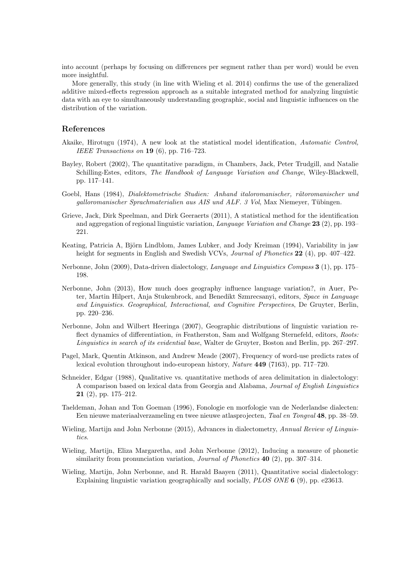into account (perhaps by focusing on differences per segment rather than per word) would be even more insightful.

More generally, this study (in line with Wieling et al. 2014) confirms the use of the generalized additive mixed-effects regression approach as a suitable integrated method for analyzing linguistic data with an eye to simultaneously understanding geographic, social and linguistic influences on the distribution of the variation.

# References

- Akaike, Hirotugu (1974), A new look at the statistical model identification, Automatic Control, IEEE Transactions on **19** (6), pp. 716–723.
- Bayley, Robert (2002), The quantitative paradigm, in Chambers, Jack, Peter Trudgill, and Natalie Schilling-Estes, editors, The Handbook of Language Variation and Change, Wiley-Blackwell, pp. 117–141.
- Goebl, Hans (1984), Dialektometrische Studien: Anhand italoromanischer, rätoromanischer und  $qalloromanischer Sprachmaterialien aus AIS und ALF. 3 Vol. Max Niemeyer, Tübingen.$
- Grieve, Jack, Dirk Speelman, and Dirk Geeraerts (2011), A statistical method for the identification and aggregation of regional linguistic variation, Language Variation and Change 23 (2), pp. 193– 221.
- Keating, Patricia A, Björn Lindblom, James Lubker, and Jody Kreiman (1994), Variability in jaw height for segments in English and Swedish VCVs, Journal of Phonetics 22 (4), pp. 407–422.
- Nerbonne, John (2009), Data-driven dialectology, Language and Linguistics Compass 3 (1), pp. 175– 198.
- Nerbonne, John (2013), How much does geography influence language variation?, in Auer, Peter, Martin Hilpert, Anja Stukenbrock, and Benedikt Szmrecsanyi, editors, Space in Language and Linguistics. Geographical, Interactional, and Cognitive Perspectives, De Gruyter, Berlin, pp. 220–236.
- Nerbonne, John and Wilbert Heeringa (2007), Geographic distributions of linguistic variation reflect dynamics of differentiation, in Featherston, Sam and Wolfgang Sternefeld, editors, Roots: Linguistics in search of its evidential base, Walter de Gruyter, Boston and Berlin, pp. 267–297.
- Pagel, Mark, Quentin Atkinson, and Andrew Meade (2007), Frequency of word-use predicts rates of lexical evolution throughout indo-european history, Nature 449 (7163), pp. 717–720.
- Schneider, Edgar (1988), Qualitative vs. quantitative methods of area delimitation in dialectology: A comparison based on lexical data from Georgia and Alabama, Journal of English Linguistics 21 (2), pp. 175–212.
- Taeldeman, Johan and Ton Goeman (1996), Fonologie en morfologie van de Nederlandse dialecten: Een nieuwe materiaalverzameling en twee nieuwe atlasprojecten, Taal en Tongval 48, pp. 38–59.
- Wieling, Martijn and John Nerbonne (2015), Advances in dialectometry, Annual Review of Linguistics.
- Wieling, Martijn, Eliza Margaretha, and John Nerbonne (2012), Inducing a measure of phonetic similarity from pronunciation variation, *Journal of Phonetics* **40** (2), pp. 307–314.
- Wieling, Martijn, John Nerbonne, and R. Harald Baayen (2011), Quantitative social dialectology: Explaining linguistic variation geographically and socially, PLOS ONE 6 (9), pp. e23613.